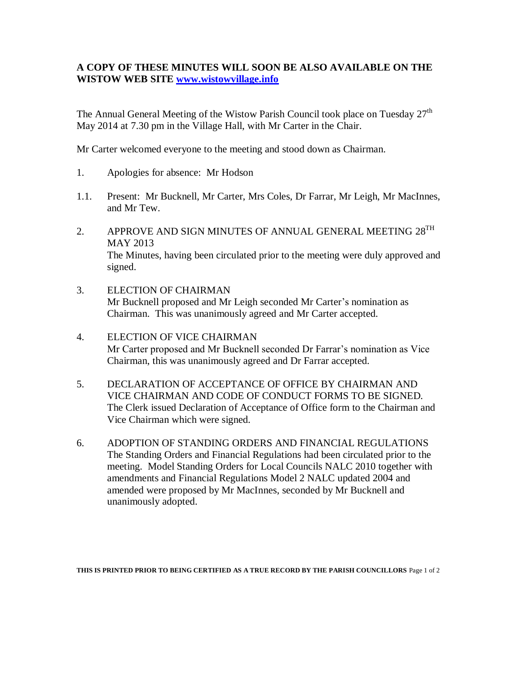## **A COPY OF THESE MINUTES WILL SOON BE ALSO AVAILABLE ON THE WISTOW WEB SITE [www.wistowvillage.info](http://www.wistowvillage.info/)**

The Annual General Meeting of the Wistow Parish Council took place on Tuesday  $27<sup>th</sup>$ May 2014 at 7.30 pm in the Village Hall, with Mr Carter in the Chair.

Mr Carter welcomed everyone to the meeting and stood down as Chairman.

- 1. Apologies for absence: Mr Hodson
- 1.1. Present: Mr Bucknell, Mr Carter, Mrs Coles, Dr Farrar, Mr Leigh, Mr MacInnes, and Mr Tew.
- 2. APPROVE AND SIGN MINUTES OF ANNUAL GENERAL MEETING  $28^{TH}$ MAY 2013 The Minutes, having been circulated prior to the meeting were duly approved and signed.
- 3. ELECTION OF CHAIRMAN Mr Bucknell proposed and Mr Leigh seconded Mr Carter's nomination as Chairman. This was unanimously agreed and Mr Carter accepted.
- 4. ELECTION OF VICE CHAIRMAN Mr Carter proposed and Mr Bucknell seconded Dr Farrar's nomination as Vice Chairman, this was unanimously agreed and Dr Farrar accepted.
- 5. DECLARATION OF ACCEPTANCE OF OFFICE BY CHAIRMAN AND VICE CHAIRMAN AND CODE OF CONDUCT FORMS TO BE SIGNED. The Clerk issued Declaration of Acceptance of Office form to the Chairman and Vice Chairman which were signed.
- 6. ADOPTION OF STANDING ORDERS AND FINANCIAL REGULATIONS The Standing Orders and Financial Regulations had been circulated prior to the meeting. Model Standing Orders for Local Councils NALC 2010 together with amendments and Financial Regulations Model 2 NALC updated 2004 and amended were proposed by Mr MacInnes, seconded by Mr Bucknell and unanimously adopted.

**THIS IS PRINTED PRIOR TO BEING CERTIFIED AS A TRUE RECORD BY THE PARISH COUNCILLORS** Page 1 of 2